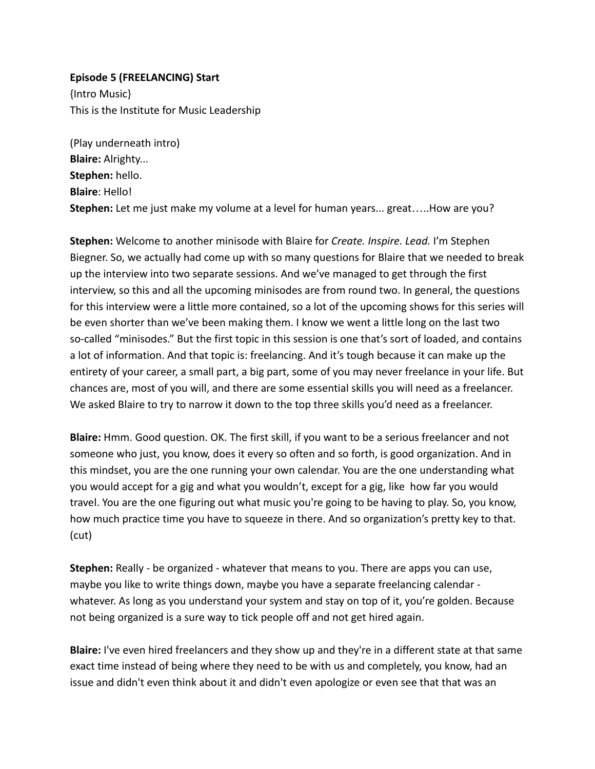## **Episode 5 (FREELANCING) Start**

{Intro Music} This is the Institute for Music Leadership

(Play underneath intro) **Blaire:** Alrighty... **Stephen:** hello. **Blaire**: Hello! **Stephen:** Let me just make my volume at a level for human years... great…..How are you?

**Stephen:** Welcome to another minisode with Blaire for *Create. Inspire. Lead.* I'm Stephen Biegner. So, we actually had come up with so many questions for Blaire that we needed to break up the interview into two separate sessions. And we've managed to get through the first interview, so this and all the upcoming minisodes are from round two. In general, the questions for this interview were a little more contained, so a lot of the upcoming shows for this series will be even shorter than we've been making them. I know we went a little long on the last two so-called "minisodes." But the first topic in this session is one that's sort of loaded, and contains a lot of information. And that topic is: freelancing. And it's tough because it can make up the entirety of your career, a small part, a big part, some of you may never freelance in your life. But chances are, most of you will, and there are some essential skills you will need as a freelancer. We asked Blaire to try to narrow it down to the top three skills you'd need as a freelancer.

**Blaire:** Hmm. Good question. OK. The first skill, if you want to be a serious freelancer and not someone who just, you know, does it every so often and so forth, is good organization. And in this mindset, you are the one running your own calendar. You are the one understanding what you would accept for a gig and what you wouldn't, except for a gig, like how far you would travel. You are the one figuring out what music you're going to be having to play. So, you know, how much practice time you have to squeeze in there. And so organization's pretty key to that. (cut)

**Stephen:** Really - be organized - whatever that means to you. There are apps you can use, maybe you like to write things down, maybe you have a separate freelancing calendar whatever. As long as you understand your system and stay on top of it, you're golden. Because not being organized is a sure way to tick people off and not get hired again.

**Blaire:** I've even hired freelancers and they show up and they're in a different state at that same exact time instead of being where they need to be with us and completely, you know, had an issue and didn't even think about it and didn't even apologize or even see that that was an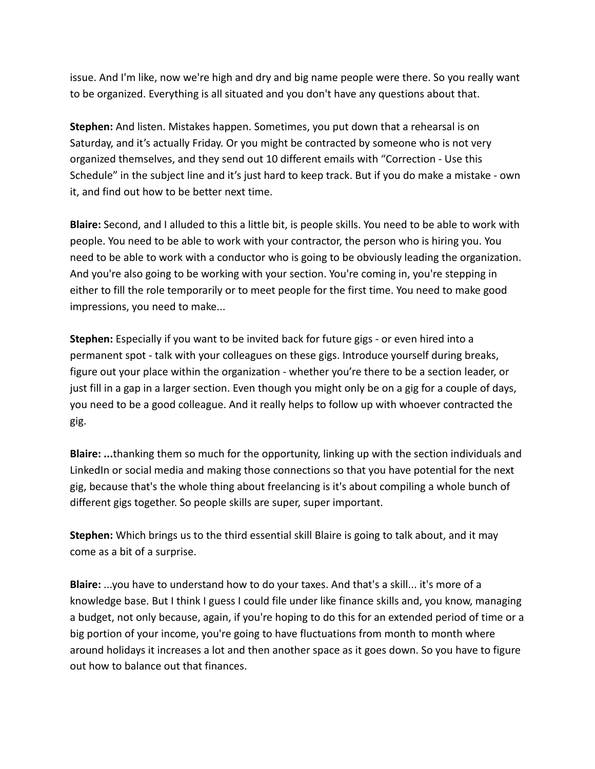issue. And I'm like, now we're high and dry and big name people were there. So you really want to be organized. Everything is all situated and you don't have any questions about that.

**Stephen:** And listen. Mistakes happen. Sometimes, you put down that a rehearsal is on Saturday, and it's actually Friday. Or you might be contracted by someone who is not very organized themselves, and they send out 10 different emails with "Correction - Use this Schedule" in the subject line and it's just hard to keep track. But if you do make a mistake - own it, and find out how to be better next time.

**Blaire:** Second, and I alluded to this a little bit, is people skills. You need to be able to work with people. You need to be able to work with your contractor, the person who is hiring you. You need to be able to work with a conductor who is going to be obviously leading the organization. And you're also going to be working with your section. You're coming in, you're stepping in either to fill the role temporarily or to meet people for the first time. You need to make good impressions, you need to make...

**Stephen:** Especially if you want to be invited back for future gigs - or even hired into a permanent spot - talk with your colleagues on these gigs. Introduce yourself during breaks, figure out your place within the organization - whether you're there to be a section leader, or just fill in a gap in a larger section. Even though you might only be on a gig for a couple of days, you need to be a good colleague. And it really helps to follow up with whoever contracted the gig.

**Blaire: ...**thanking them so much for the opportunity, linking up with the section individuals and LinkedIn or social media and making those connections so that you have potential for the next gig, because that's the whole thing about freelancing is it's about compiling a whole bunch of different gigs together. So people skills are super, super important.

**Stephen:** Which brings us to the third essential skill Blaire is going to talk about, and it may come as a bit of a surprise.

**Blaire:** ...you have to understand how to do your taxes. And that's a skill... it's more of a knowledge base. But I think I guess I could file under like finance skills and, you know, managing a budget, not only because, again, if you're hoping to do this for an extended period of time or a big portion of your income, you're going to have fluctuations from month to month where around holidays it increases a lot and then another space as it goes down. So you have to figure out how to balance out that finances.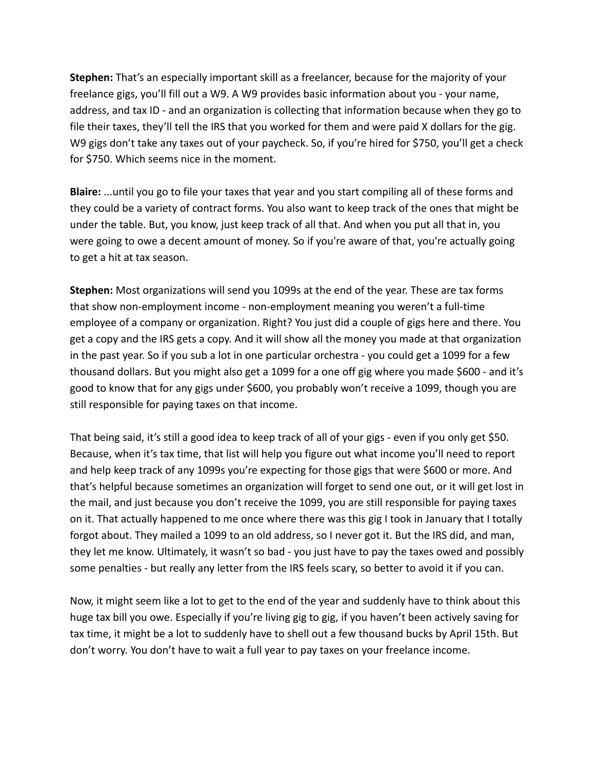**Stephen:** That's an especially important skill as a freelancer, because for the majority of your freelance gigs, you'll fill out a W9. A W9 provides basic information about you - your name, address, and tax ID - and an organization is collecting that information because when they go to file their taxes, they'll tell the IRS that you worked for them and were paid X dollars for the gig. W9 gigs don't take any taxes out of your paycheck. So, if you're hired for \$750, you'll get a check for \$750. Which seems nice in the moment.

**Blaire:** ...until you go to file your taxes that year and you start compiling all of these forms and they could be a variety of contract forms. You also want to keep track of the ones that might be under the table. But, you know, just keep track of all that. And when you put all that in, you were going to owe a decent amount of money. So if you're aware of that, you're actually going to get a hit at tax season.

**Stephen:** Most organizations will send you 1099s at the end of the year. These are tax forms that show non-employment income - non-employment meaning you weren't a full-time employee of a company or organization. Right? You just did a couple of gigs here and there. You get a copy and the IRS gets a copy. And it will show all the money you made at that organization in the past year. So if you sub a lot in one particular orchestra - you could get a 1099 for a few thousand dollars. But you might also get a 1099 for a one off gig where you made \$600 - and it's good to know that for any gigs under \$600, you probably won't receive a 1099, though you are still responsible for paying taxes on that income.

That being said, it's still a good idea to keep track of all of your gigs - even if you only get \$50. Because, when it's tax time, that list will help you figure out what income you'll need to report and help keep track of any 1099s you're expecting for those gigs that were \$600 or more. And that's helpful because sometimes an organization will forget to send one out, or it will get lost in the mail, and just because you don't receive the 1099, you are still responsible for paying taxes on it. That actually happened to me once where there was this gig I took in January that I totally forgot about. They mailed a 1099 to an old address, so I never got it. But the IRS did, and man, they let me know. Ultimately, it wasn't so bad - you just have to pay the taxes owed and possibly some penalties - but really any letter from the IRS feels scary, so better to avoid it if you can.

Now, it might seem like a lot to get to the end of the year and suddenly have to think about this huge tax bill you owe. Especially if you're living gig to gig, if you haven't been actively saving for tax time, it might be a lot to suddenly have to shell out a few thousand bucks by April 15th. But don't worry. You don't have to wait a full year to pay taxes on your freelance income.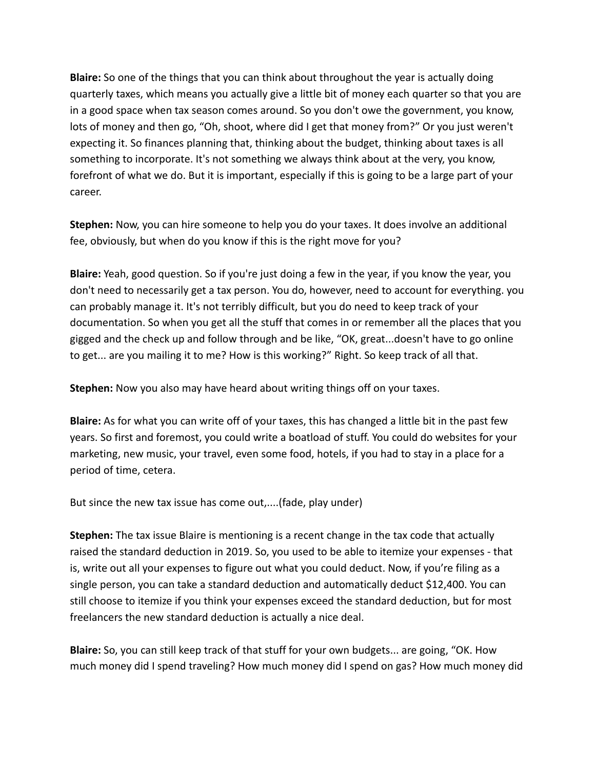**Blaire:** So one of the things that you can think about throughout the year is actually doing quarterly taxes, which means you actually give a little bit of money each quarter so that you are in a good space when tax season comes around. So you don't owe the government, you know, lots of money and then go, "Oh, shoot, where did I get that money from?" Or you just weren't expecting it. So finances planning that, thinking about the budget, thinking about taxes is all something to incorporate. It's not something we always think about at the very, you know, forefront of what we do. But it is important, especially if this is going to be a large part of your career.

**Stephen:** Now, you can hire someone to help you do your taxes. It does involve an additional fee, obviously, but when do you know if this is the right move for you?

**Blaire:** Yeah, good question. So if you're just doing a few in the year, if you know the year, you don't need to necessarily get a tax person. You do, however, need to account for everything. you can probably manage it. It's not terribly difficult, but you do need to keep track of your documentation. So when you get all the stuff that comes in or remember all the places that you gigged and the check up and follow through and be like, "OK, great...doesn't have to go online to get... are you mailing it to me? How is this working?" Right. So keep track of all that.

**Stephen:** Now you also may have heard about writing things off on your taxes.

**Blaire:** As for what you can write off of your taxes, this has changed a little bit in the past few years. So first and foremost, you could write a boatload of stuff. You could do websites for your marketing, new music, your travel, even some food, hotels, if you had to stay in a place for a period of time, cetera.

But since the new tax issue has come out,....(fade, play under)

**Stephen:** The tax issue Blaire is mentioning is a recent change in the tax code that actually raised the standard deduction in 2019. So, you used to be able to itemize your expenses - that is, write out all your expenses to figure out what you could deduct. Now, if you're filing as a single person, you can take a standard deduction and automatically deduct \$12,400. You can still choose to itemize if you think your expenses exceed the standard deduction, but for most freelancers the new standard deduction is actually a nice deal.

**Blaire:** So, you can still keep track of that stuff for your own budgets... are going, "OK. How much money did I spend traveling? How much money did I spend on gas? How much money did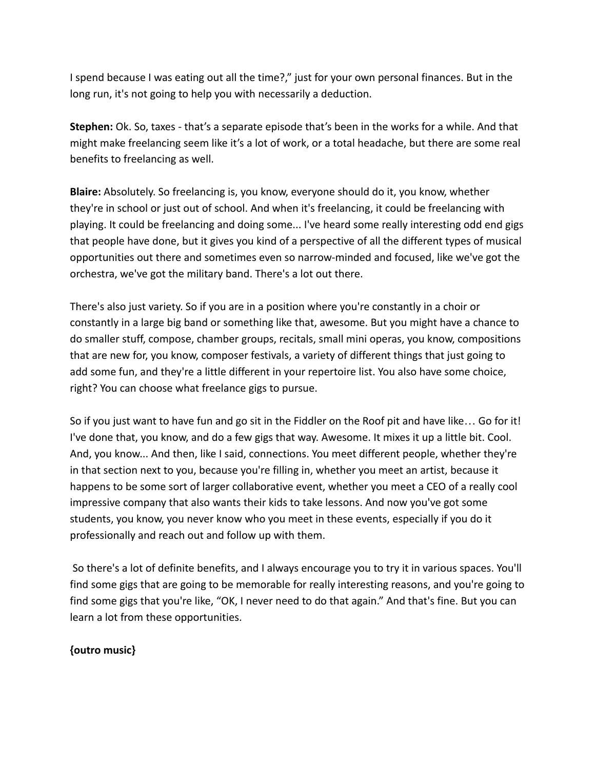I spend because I was eating out all the time?," just for your own personal finances. But in the long run, it's not going to help you with necessarily a deduction.

**Stephen:** Ok. So, taxes - that's a separate episode that's been in the works for a while. And that might make freelancing seem like it's a lot of work, or a total headache, but there are some real benefits to freelancing as well.

**Blaire:** Absolutely. So freelancing is, you know, everyone should do it, you know, whether they're in school or just out of school. And when it's freelancing, it could be freelancing with playing. It could be freelancing and doing some... I've heard some really interesting odd end gigs that people have done, but it gives you kind of a perspective of all the different types of musical opportunities out there and sometimes even so narrow-minded and focused, like we've got the orchestra, we've got the military band. There's a lot out there.

There's also just variety. So if you are in a position where you're constantly in a choir or constantly in a large big band or something like that, awesome. But you might have a chance to do smaller stuff, compose, chamber groups, recitals, small mini operas, you know, compositions that are new for, you know, composer festivals, a variety of different things that just going to add some fun, and they're a little different in your repertoire list. You also have some choice, right? You can choose what freelance gigs to pursue.

So if you just want to have fun and go sit in the Fiddler on the Roof pit and have like… Go for it! I've done that, you know, and do a few gigs that way. Awesome. It mixes it up a little bit. Cool. And, you know... And then, like I said, connections. You meet different people, whether they're in that section next to you, because you're filling in, whether you meet an artist, because it happens to be some sort of larger collaborative event, whether you meet a CEO of a really cool impressive company that also wants their kids to take lessons. And now you've got some students, you know, you never know who you meet in these events, especially if you do it professionally and reach out and follow up with them.

So there's a lot of definite benefits, and I always encourage you to try it in various spaces. You'll find some gigs that are going to be memorable for really interesting reasons, and you're going to find some gigs that you're like, "OK, I never need to do that again." And that's fine. But you can learn a lot from these opportunities.

## **{outro music}**